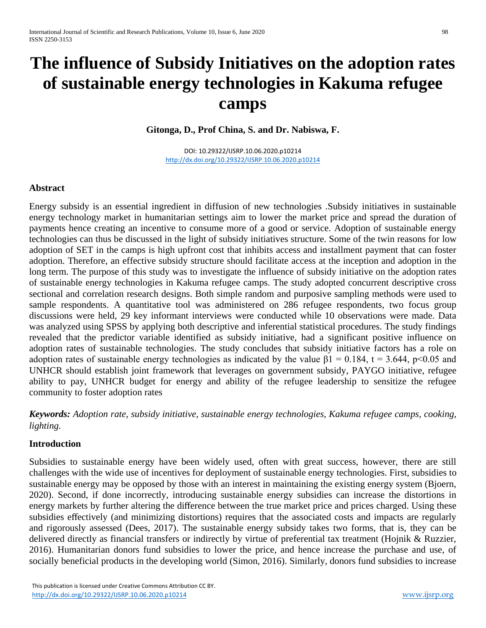# **The influence of Subsidy Initiatives on the adoption rates of sustainable energy technologies in Kakuma refugee camps**

**Gitonga, D., Prof China, S. and Dr. Nabiswa, F.**

DOI: 10.29322/IJSRP.10.06.2020.p10214 <http://dx.doi.org/10.29322/IJSRP.10.06.2020.p10214>

## **Abstract**

Energy subsidy is an essential ingredient in diffusion of new technologies .Subsidy initiatives in sustainable energy technology market in humanitarian settings aim to lower the market price and spread the duration of payments hence creating an incentive to consume more of a good or service. Adoption of sustainable energy technologies can thus be discussed in the light of subsidy initiatives structure. Some of the twin reasons for low adoption of SET in the camps is high upfront cost that inhibits access and installment payment that can foster adoption. Therefore, an effective subsidy structure should facilitate access at the inception and adoption in the long term. The purpose of this study was to investigate the influence of subsidy initiative on the adoption rates of sustainable energy technologies in Kakuma refugee camps. The study adopted concurrent descriptive cross sectional and correlation research designs. Both simple random and purposive sampling methods were used to sample respondents. A quantitative tool was administered on 286 refugee respondents, two focus group discussions were held, 29 key informant interviews were conducted while 10 observations were made. Data was analyzed using SPSS by applying both descriptive and inferential statistical procedures. The study findings revealed that the predictor variable identified as subsidy initiative, had a significant positive influence on adoption rates of sustainable technologies. The study concludes that subsidy initiative factors has a role on adoption rates of sustainable energy technologies as indicated by the value  $\beta$ 1 = 0.184, t = 3.644, p<0.05 and UNHCR should establish joint framework that leverages on government subsidy, PAYGO initiative, refugee ability to pay, UNHCR budget for energy and ability of the refugee leadership to sensitize the refugee community to foster adoption rates

*Keywords: Adoption rate, subsidy initiative, sustainable energy technologies, Kakuma refugee camps, cooking, lighting.*

## **Introduction**

Subsidies to sustainable energy have been widely used, often with great success, however, there are still challenges with the wide use of incentives for deployment of sustainable energy technologies. First, subsidies to sustainable energy may be opposed by those with an interest in maintaining the existing energy system (Bjoern, 2020). Second, if done incorrectly, introducing sustainable energy subsidies can increase the distortions in energy markets by further altering the difference between the true market price and prices charged. Using these subsidies effectively (and minimizing distortions) requires that the associated costs and impacts are regularly and rigorously assessed (Dees, 2017). The sustainable energy subsidy takes two forms, that is, they can be delivered directly as financial transfers or indirectly by virtue of preferential tax treatment (Hojnik & Ruzzier, 2016). Humanitarian donors fund subsidies to lower the price, and hence increase the purchase and use, of socially beneficial products in the developing world (Simon, 2016). Similarly, donors fund subsidies to increase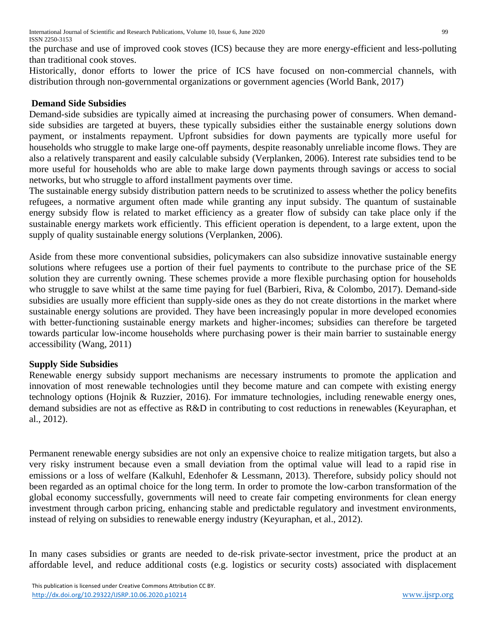the purchase and use of improved cook stoves (ICS) because they are more energy-efficient and less-polluting than traditional cook stoves.

Historically, donor efforts to lower the price of ICS have focused on non-commercial channels, with distribution through non-governmental organizations or government agencies (World Bank, 2017)

## **Demand Side Subsidies**

Demand-side subsidies are typically aimed at increasing the purchasing power of consumers. When demandside subsidies are targeted at buyers, these typically subsidies either the sustainable energy solutions down payment, or instalments repayment. Upfront subsidies for down payments are typically more useful for households who struggle to make large one-off payments, despite reasonably unreliable income flows. They are also a relatively transparent and easily calculable subsidy (Verplanken, 2006). Interest rate subsidies tend to be more useful for households who are able to make large down payments through savings or access to social networks, but who struggle to afford installment payments over time.

The sustainable energy subsidy distribution pattern needs to be scrutinized to assess whether the policy benefits refugees, a normative argument often made while granting any input subsidy. The quantum of sustainable energy subsidy flow is related to market efficiency as a greater flow of subsidy can take place only if the sustainable energy markets work efficiently. This efficient operation is dependent, to a large extent, upon the supply of quality sustainable energy solutions (Verplanken, 2006).

Aside from these more conventional subsidies, policymakers can also subsidize innovative sustainable energy solutions where refugees use a portion of their fuel payments to contribute to the purchase price of the SE solution they are currently owning. These schemes provide a more flexible purchasing option for households who struggle to save whilst at the same time paying for fuel (Barbieri, Riva, & Colombo, 2017). Demand-side subsidies are usually more efficient than supply-side ones as they do not create distortions in the market where sustainable energy solutions are provided. They have been increasingly popular in more developed economies with better-functioning sustainable energy markets and higher-incomes; subsidies can therefore be targeted towards particular low-income households where purchasing power is their main barrier to sustainable energy accessibility (Wang, 2011)

# **Supply Side Subsidies**

Renewable energy subsidy support mechanisms are necessary instruments to promote the application and innovation of most renewable technologies until they become mature and can compete with existing energy technology options (Hojnik & Ruzzier, 2016). For immature technologies, including renewable energy ones, demand subsidies are not as effective as R&D in contributing to cost reductions in renewables (Keyuraphan, et al., 2012).

Permanent renewable energy subsidies are not only an expensive choice to realize mitigation targets, but also a very risky instrument because even a small deviation from the optimal value will lead to a rapid rise in emissions or a loss of welfare (Kalkuhl, Edenhofer & Lessmann, 2013). Therefore, subsidy policy should not been regarded as an optimal choice for the long term. In order to promote the low-carbon transformation of the global economy successfully, governments will need to create fair competing environments for clean energy investment through carbon pricing, enhancing stable and predictable regulatory and investment environments, instead of relying on subsidies to renewable energy industry (Keyuraphan, et al., 2012).

In many cases subsidies or grants are needed to de-risk private-sector investment, price the product at an affordable level, and reduce additional costs (e.g. logistics or security costs) associated with displacement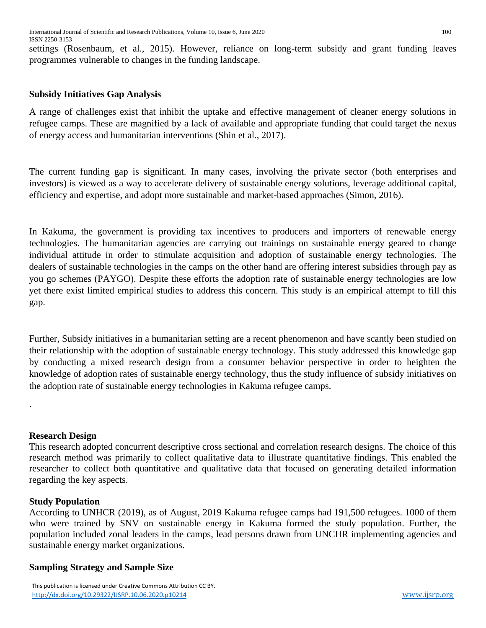settings (Rosenbaum, et al., 2015). However, reliance on long-term subsidy and grant funding leaves programmes vulnerable to changes in the funding landscape.

# **Subsidy Initiatives Gap Analysis**

A range of challenges exist that inhibit the uptake and effective management of cleaner energy solutions in refugee camps. These are magnified by a lack of available and appropriate funding that could target the nexus of energy access and humanitarian interventions (Shin et al., 2017).

The current funding gap is significant. In many cases, involving the private sector (both enterprises and investors) is viewed as a way to accelerate delivery of sustainable energy solutions, leverage additional capital, efficiency and expertise, and adopt more sustainable and market-based approaches (Simon, 2016).

In Kakuma, the government is providing tax incentives to producers and importers of renewable energy technologies. The humanitarian agencies are carrying out trainings on sustainable energy geared to change individual attitude in order to stimulate acquisition and adoption of sustainable energy technologies. The dealers of sustainable technologies in the camps on the other hand are offering interest subsidies through pay as you go schemes (PAYGO). Despite these efforts the adoption rate of sustainable energy technologies are low yet there exist limited empirical studies to address this concern. This study is an empirical attempt to fill this gap.

Further, Subsidy initiatives in a humanitarian setting are a recent phenomenon and have scantly been studied on their relationship with the adoption of sustainable energy technology. This study addressed this knowledge gap by conducting a mixed research design from a consumer behavior perspective in order to heighten the knowledge of adoption rates of sustainable energy technology, thus the study influence of subsidy initiatives on the adoption rate of sustainable energy technologies in Kakuma refugee camps.

# **Research Design**

.

This research adopted concurrent descriptive cross sectional and correlation research designs. The choice of this research method was primarily to collect qualitative data to illustrate quantitative findings. This enabled the researcher to collect both quantitative and qualitative data that focused on generating detailed information regarding the key aspects.

# **Study Population**

According to UNHCR (2019), as of August, 2019 Kakuma refugee camps had 191,500 refugees. 1000 of them who were trained by SNV on sustainable energy in Kakuma formed the study population. Further, the population included zonal leaders in the camps, lead persons drawn from UNCHR implementing agencies and sustainable energy market organizations.

# **Sampling Strategy and Sample Size**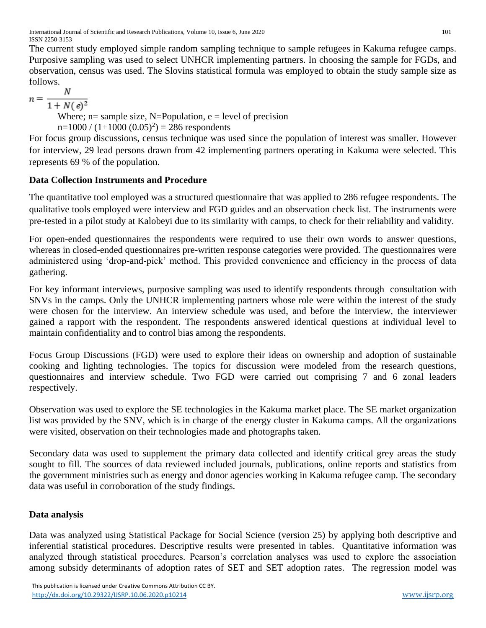International Journal of Scientific and Research Publications, Volume 10, Issue 6, June 2020 101 ISSN 2250-3153

The current study employed simple random sampling technique to sample refugees in Kakuma refugee camps. Purposive sampling was used to select UNHCR implementing partners. In choosing the sample for FGDs, and observation, census was used. The Slovins statistical formula was employed to obtain the study sample size as follows.

 $n = \frac{N}{1 + N(e)^2}$ Where;  $n=$  sample size, N=Population,  $e =$  level of precision  $n=1000 / (1+1000 (0.05)^{2}) = 286$  respondents

For focus group discussions, census technique was used since the population of interest was smaller. However for interview, 29 lead persons drawn from 42 implementing partners operating in Kakuma were selected. This represents 69 % of the population.

# **Data Collection Instruments and Procedure**

The quantitative tool employed was a structured questionnaire that was applied to 286 refugee respondents. The qualitative tools employed were interview and FGD guides and an observation check list. The instruments were pre-tested in a pilot study at Kalobeyi due to its similarity with camps, to check for their reliability and validity.

For open-ended questionnaires the respondents were required to use their own words to answer questions, whereas in closed-ended questionnaires pre-written response categories were provided. The questionnaires were administered using 'drop-and-pick' method. This provided convenience and efficiency in the process of data gathering.

For key informant interviews, purposive sampling was used to identify respondents through consultation with SNVs in the camps. Only the UNHCR implementing partners whose role were within the interest of the study were chosen for the interview. An interview schedule was used, and before the interview, the interviewer gained a rapport with the respondent. The respondents answered identical questions at individual level to maintain confidentiality and to control bias among the respondents.

Focus Group Discussions (FGD) were used to explore their ideas on ownership and adoption of sustainable cooking and lighting technologies. The topics for discussion were modeled from the research questions, questionnaires and interview schedule. Two FGD were carried out comprising 7 and 6 zonal leaders respectively.

Observation was used to explore the SE technologies in the Kakuma market place. The SE market organization list was provided by the SNV, which is in charge of the energy cluster in Kakuma camps. All the organizations were visited, observation on their technologies made and photographs taken.

Secondary data was used to supplement the primary data collected and identify critical grey areas the study sought to fill. The sources of data reviewed included journals, publications, online reports and statistics from the government ministries such as energy and donor agencies working in Kakuma refugee camp. The secondary data was useful in corroboration of the study findings.

# **Data analysis**

Data was analyzed using Statistical Package for Social Science (version 25) by applying both descriptive and inferential statistical procedures. Descriptive results were presented in tables. Quantitative information was analyzed through statistical procedures. Pearson's correlation analyses was used to explore the association among subsidy determinants of adoption rates of SET and SET adoption rates. The regression model was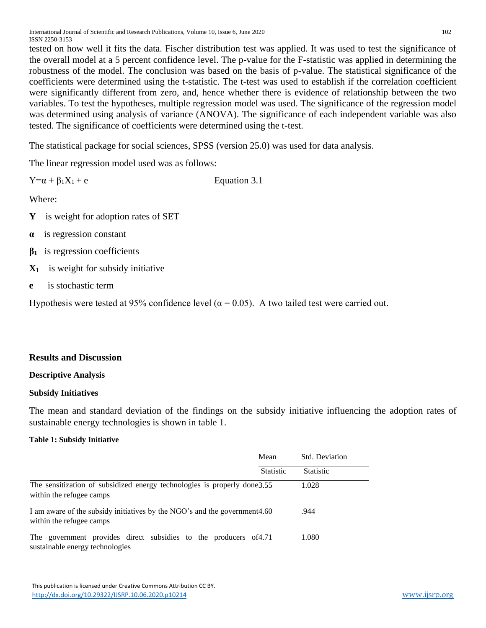tested on how well it fits the data. Fischer distribution test was applied. It was used to test the significance of the overall model at a 5 percent confidence level. The p-value for the F-statistic was applied in determining the robustness of the model. The conclusion was based on the basis of p-value. The statistical significance of the coefficients were determined using the t-statistic. The t-test was used to establish if the correlation coefficient were significantly different from zero, and, hence whether there is evidence of relationship between the two variables. To test the hypotheses, multiple regression model was used. The significance of the regression model was determined using analysis of variance (ANOVA). The significance of each independent variable was also tested. The significance of coefficients were determined using the t-test.

The statistical package for social sciences, SPSS (version 25.0) was used for data analysis.

The linear regression model used was as follows:

| $Y=a + \beta_1 X_1 + e$ | Equation 3.1 |
|-------------------------|--------------|
|-------------------------|--------------|

Where:

- **Y** is weight for adoption rates of SET
- **α** is regression constant
- **β1** is regression coefficients
- **X1** is weight for subsidy initiative
- **e** is stochastic term

Hypothesis were tested at 95% confidence level ( $\alpha$  = 0.05). A two tailed test were carried out.

## **Results and Discussion**

## **Descriptive Analysis**

## **Subsidy Initiatives**

The mean and standard deviation of the findings on the subsidy initiative influencing the adoption rates of sustainable energy technologies is shown in table 1.

#### **Table 1: Subsidy Initiative**

|                                                                                                       | Mean             | Std. Deviation   |
|-------------------------------------------------------------------------------------------------------|------------------|------------------|
|                                                                                                       | <b>Statistic</b> | <b>Statistic</b> |
| The sensitization of subsidized energy technologies is properly done 3.55<br>within the refugee camps |                  | 1.028            |
| I am aware of the subsidy initiatives by the NGO's and the government4.60<br>within the refugee camps |                  | .944             |
| The government provides direct subsidies to the producers of 4.71<br>sustainable energy technologies  |                  | 1.080            |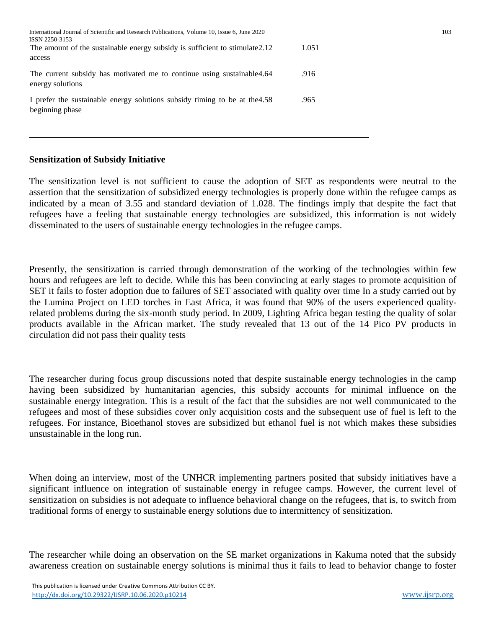| International Journal of Scientific and Research Publications, Volume 10, Issue 6, June 2020<br>ISSN 2250-3153 |       | 103 |
|----------------------------------------------------------------------------------------------------------------|-------|-----|
| The amount of the sustainable energy subsidy is sufficient to stimulate 2.12<br>access                         | 1.051 |     |
| The current subsidy has motivated me to continue using sustainable 4.64<br>energy solutions                    | .916  |     |
| I prefer the sustainable energy solutions subsidy timing to be at the 4.58<br>beginning phase                  | .965  |     |

## **Sensitization of Subsidy Initiative**

The sensitization level is not sufficient to cause the adoption of SET as respondents were neutral to the assertion that the sensitization of subsidized energy technologies is properly done within the refugee camps as indicated by a mean of 3.55 and standard deviation of 1.028. The findings imply that despite the fact that refugees have a feeling that sustainable energy technologies are subsidized, this information is not widely disseminated to the users of sustainable energy technologies in the refugee camps.

Presently, the sensitization is carried through demonstration of the working of the technologies within few hours and refugees are left to decide. While this has been convincing at early stages to promote acquisition of SET it fails to foster adoption due to failures of SET associated with quality over time In a study carried out by the Lumina Project on LED torches in East Africa, it was found that 90% of the users experienced qualityrelated problems during the six-month study period. In 2009, Lighting Africa began testing the quality of solar products available in the African market. The study revealed that 13 out of the 14 Pico PV products in circulation did not pass their quality tests

The researcher during focus group discussions noted that despite sustainable energy technologies in the camp having been subsidized by humanitarian agencies, this subsidy accounts for minimal influence on the sustainable energy integration. This is a result of the fact that the subsidies are not well communicated to the refugees and most of these subsidies cover only acquisition costs and the subsequent use of fuel is left to the refugees. For instance, Bioethanol stoves are subsidized but ethanol fuel is not which makes these subsidies unsustainable in the long run.

When doing an interview, most of the UNHCR implementing partners posited that subsidy initiatives have a significant influence on integration of sustainable energy in refugee camps. However, the current level of sensitization on subsidies is not adequate to influence behavioral change on the refugees, that is, to switch from traditional forms of energy to sustainable energy solutions due to intermittency of sensitization.

The researcher while doing an observation on the SE market organizations in Kakuma noted that the subsidy awareness creation on sustainable energy solutions is minimal thus it fails to lead to behavior change to foster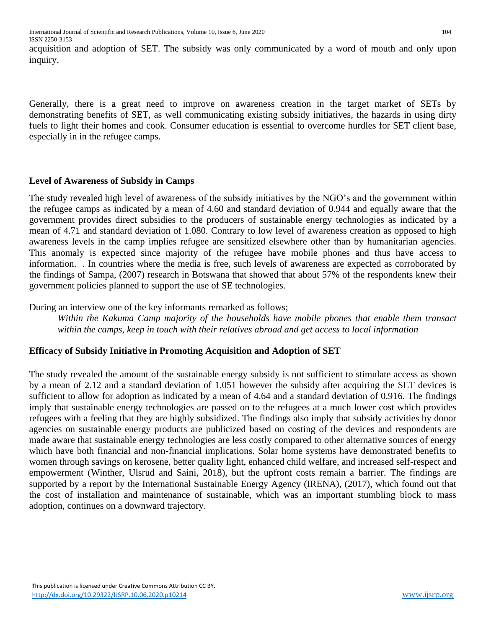acquisition and adoption of SET. The subsidy was only communicated by a word of mouth and only upon inquiry.

Generally, there is a great need to improve on awareness creation in the target market of SETs by demonstrating benefits of SET, as well communicating existing subsidy initiatives, the hazards in using dirty fuels to light their homes and cook. Consumer education is essential to overcome hurdles for SET client base, especially in in the refugee camps.

## **Level of Awareness of Subsidy in Camps**

The study revealed high level of awareness of the subsidy initiatives by the NGO's and the government within the refugee camps as indicated by a mean of 4.60 and standard deviation of 0.944 and equally aware that the government provides direct subsidies to the producers of sustainable energy technologies as indicated by a mean of 4.71 and standard deviation of 1.080. Contrary to low level of awareness creation as opposed to high awareness levels in the camp implies refugee are sensitized elsewhere other than by humanitarian agencies. This anomaly is expected since majority of the refugee have mobile phones and thus have access to information. . In countries where the media is free, such levels of awareness are expected as corroborated by the findings of Sampa, (2007) research in Botswana that showed that about 57% of the respondents knew their government policies planned to support the use of SE technologies.

During an interview one of the key informants remarked as follows;

*Within the Kakuma Camp majority of the households have mobile phones that enable them transact within the camps, keep in touch with their relatives abroad and get access to local information*

# **Efficacy of Subsidy Initiative in Promoting Acquisition and Adoption of SET**

The study revealed the amount of the sustainable energy subsidy is not sufficient to stimulate access as shown by a mean of 2.12 and a standard deviation of 1.051 however the subsidy after acquiring the SET devices is sufficient to allow for adoption as indicated by a mean of 4.64 and a standard deviation of 0.916. The findings imply that sustainable energy technologies are passed on to the refugees at a much lower cost which provides refugees with a feeling that they are highly subsidized. The findings also imply that subsidy activities by donor agencies on sustainable energy products are publicized based on costing of the devices and respondents are made aware that sustainable energy technologies are less costly compared to other alternative sources of energy which have both financial and non-financial implications. Solar home systems have demonstrated benefits to women through savings on kerosene, better quality light, enhanced child welfare, and increased self-respect and empowerment (Winther, Ulsrud and Saini, 2018), but the upfront costs remain a barrier. The findings are supported by a report by the International Sustainable Energy Agency (IRENA), (2017), which found out that the cost of installation and maintenance of sustainable, which was an important stumbling block to mass adoption, continues on a downward trajectory.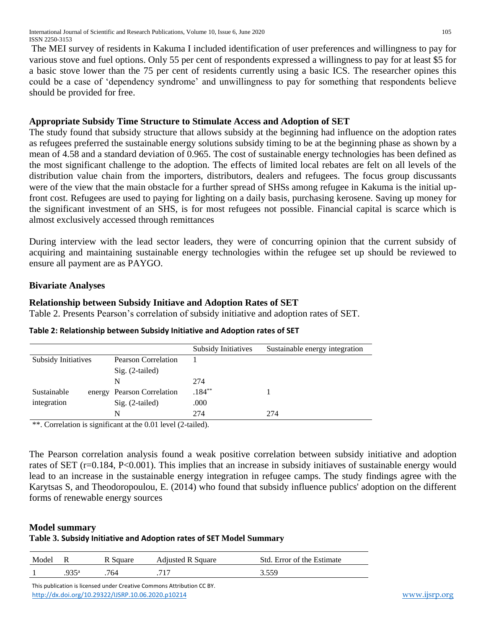The MEI survey of residents in Kakuma I included identification of user preferences and willingness to pay for various stove and fuel options. Only 55 per cent of respondents expressed a willingness to pay for at least \$5 for a basic stove lower than the 75 per cent of residents currently using a basic ICS. The researcher opines this could be a case of 'dependency syndrome' and unwillingness to pay for something that respondents believe should be provided for free.

# **Appropriate Subsidy Time Structure to Stimulate Access and Adoption of SET**

The study found that subsidy structure that allows subsidy at the beginning had influence on the adoption rates as refugees preferred the sustainable energy solutions subsidy timing to be at the beginning phase as shown by a mean of 4.58 and a standard deviation of 0.965. The cost of sustainable energy technologies has been defined as the most significant challenge to the adoption. The effects of limited local rebates are felt on all levels of the distribution value chain from the importers, distributors, dealers and refugees. The focus group discussants were of the view that the main obstacle for a further spread of SHSs among refugee in Kakuma is the initial upfront cost. Refugees are used to paying for lighting on a daily basis, purchasing kerosene. Saving up money for the significant investment of an SHS, is for most refugees not possible. Financial capital is scarce which is almost exclusively accessed through remittances

During interview with the lead sector leaders, they were of concurring opinion that the current subsidy of acquiring and maintaining sustainable energy technologies within the refugee set up should be reviewed to ensure all payment are as PAYGO.

# **Bivariate Analyses**

# **Relationship between Subsidy Initiave and Adoption Rates of SET**

Table 2. Presents Pearson's correlation of subsidy initiative and adoption rates of SET.

|                            |                            | <b>Subsidy Initiatives</b> | Sustainable energy integration |
|----------------------------|----------------------------|----------------------------|--------------------------------|
| <b>Subsidy Initiatives</b> | <b>Pearson Correlation</b> |                            |                                |
|                            | Sig. (2-tailed)            |                            |                                |
|                            | N                          | 274                        |                                |
| Sustainable                | energy Pearson Correlation | $.184***$                  |                                |
| integration                | $Sig. (2-tailed)$          | .000                       |                                |
|                            | N                          | 274                        | 274                            |

## **Table 2: Relationship between Subsidy Initiative and Adoption rates of SET**

\*\*. Correlation is significant at the 0.01 level (2-tailed).

The Pearson correlation analysis found a weak positive correlation between subsidy initiative and adoption rates of SET (r=0.184, P<0.001). This implies that an increase in subsidy initiaves of sustainable energy would lead to an increase in the sustainable energy integration in refugee camps. The study findings agree with the Karytsas S, and Theodoropoulou, E. (2014) who found that subsidy influence publics' adoption on the different forms of renewable energy sources

# **Model summary**

## **Table 3. Subsidy Initiative and Adoption rates of SET Model Summary**

| Model | R    | R Square | <b>Adjusted R Square</b> | Std. Error of the Estimate |  |
|-------|------|----------|--------------------------|----------------------------|--|
|       | Q35ª | 764      |                          | 3 550                      |  |

 This publication is licensed under Creative Commons Attribution CC BY. <http://dx.doi.org/10.29322/IJSRP.10.06.2020.p10214> [www.ijsrp.org](http://ijsrp.org/)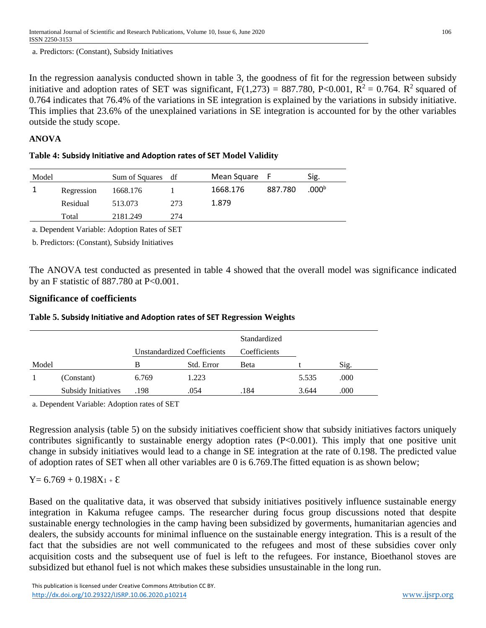a. Predictors: (Constant), Subsidy Initiatives

In the regression aanalysis conducted shown in table 3, the goodness of fit for the regression between subsidy initiative and adoption rates of SET was significant,  $F(1,273) = 887.780$ , P<0.001, R<sup>2</sup> = 0.764. R<sup>2</sup> squared of 0.764 indicates that 76.4% of the variations in SE integration is explained by the variations in subsidy initiative. This implies that 23.6% of the unexplained variations in SE integration is accounted for by the other variables outside the study scope.

## **ANOVA**

#### **Table 4: Subsidy Initiative and Adoption rates of SET Model Validity**

| Model |            | Sum of Squares | df  | Mean Square | . F     | Sig.              |
|-------|------------|----------------|-----|-------------|---------|-------------------|
|       | Regression | 1668.176       |     | 1668.176    | 887.780 | .000 <sup>b</sup> |
|       | Residual   | 513.073        | 273 | 1.879       |         |                   |
|       | Total      | 2181.249       | 274 |             |         |                   |

a. Dependent Variable: Adoption Rates of SET

b. Predictors: (Constant), Subsidy Initiatives

The ANOVA test conducted as presented in table 4 showed that the overall model was significance indicated by an F statistic of 887.780 at P<0.001.

## **Significance of coefficients**

## **Table 5. Subsidy Initiative and Adoption rates of SET Regression Weights**

|       |                     |                                    |            | Standardized |       |      |
|-------|---------------------|------------------------------------|------------|--------------|-------|------|
|       |                     | <b>Unstandardized Coefficients</b> |            | Coefficients |       |      |
| Model |                     | В                                  | Std. Error | Beta         |       | Sig. |
|       | (Constant)          | 6.769                              | 1.223      |              | 5.535 | .000 |
|       | Subsidy Initiatives | .198                               | .054       | .184         | 3.644 | .000 |

a. Dependent Variable: Adoption rates of SET

Regression analysis (table 5) on the subsidy initiatives coefficient show that subsidy initiatives factors uniquely contributes significantly to sustainable energy adoption rates (P<0.001). This imply that one positive unit change in subsidy initiatives would lead to a change in SE integration at the rate of 0.198. The predicted value of adoption rates of SET when all other variables are 0 is 6.769.The fitted equation is as shown below;

# $Y= 6.769 + 0.198X_{1} + \mathcal{E}$

Based on the qualitative data, it was observed that subsidy initiatives positively influence sustainable energy integration in Kakuma refugee camps. The researcher during focus group discussions noted that despite sustainable energy technologies in the camp having been subsidized by goverments, humanitarian agencies and dealers, the subsidy accounts for minimal influence on the sustainable energy integration. This is a result of the fact that the subsidies are not well communicated to the refugees and most of these subsidies cover only acquisition costs and the subsequent use of fuel is left to the refugees. For instance, Bioethanol stoves are subsidized but ethanol fuel is not which makes these subsidies unsustainable in the long run.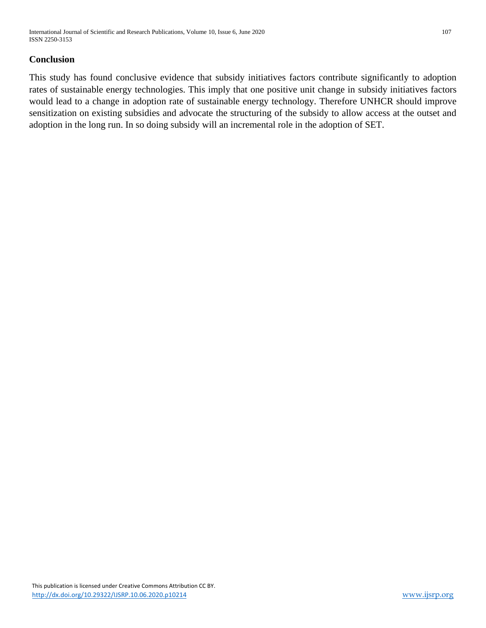## **Conclusion**

This study has found conclusive evidence that subsidy initiatives factors contribute significantly to adoption rates of sustainable energy technologies. This imply that one positive unit change in subsidy initiatives factors would lead to a change in adoption rate of sustainable energy technology. Therefore UNHCR should improve sensitization on existing subsidies and advocate the structuring of the subsidy to allow access at the outset and adoption in the long run. In so doing subsidy will an incremental role in the adoption of SET.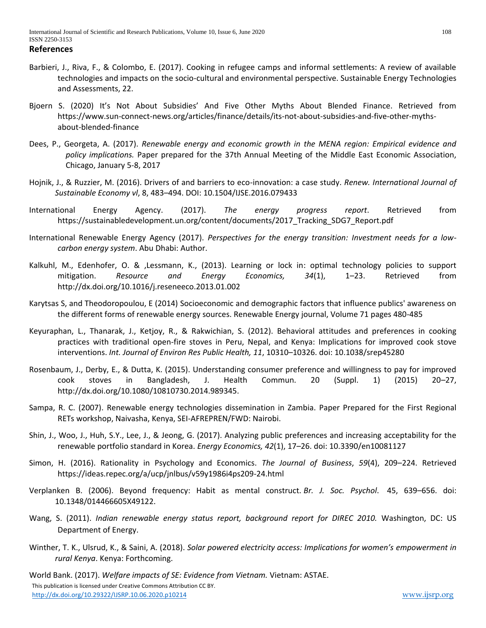**References**

- Barbieri, J., Riva, F., & Colombo, E. (2017). Cooking in refugee camps and informal settlements: A review of available technologies and impacts on the socio-cultural and environmental perspective. Sustainable Energy Technologies and Assessments, 22.
- Bjoern S. (2020) It's Not About Subsidies' And Five Other Myths About Blended Finance. Retrieved from https://www.sun-connect-news.org/articles/finance/details/its-not-about-subsidies-and-five-other-mythsabout-blended-finance
- Dees, P., Georgeta, A. (2017). *Renewable energy and economic growth in the MENA region: Empirical evidence and policy implications.* Paper prepared for the 37th Annual Meeting of the Middle East Economic Association, Chicago, January 5-8, 2017
- Hojnik, J., & Ruzzier, M. (2016). Drivers of and barriers to eco-innovation: a case study. *Renew. International Journal of Sustainable Economy vl*, 8, 483–494. DOI: 10.1504/IJSE.2016.079433
- International Energy Agency. (2017). *The energy progress report*. Retrieved from https://sustainabledevelopment.un.org/content/documents/2017\_Tracking\_SDG7\_Report.pdf
- International Renewable Energy Agency (2017). *Perspectives for the energy transition: Investment needs for a lowcarbon energy system*. Abu Dhabi: Author.
- Kalkuhl, M., Edenhofer, O. & ,Lessmann, K., (2013). Learning or lock in: optimal technology policies to support mitigation. *Resource and Energy Economics, 34*(1), 1–23. Retrieved from http://dx.doi.org/10.1016/j.reseneeco.2013.01.002
- Karytsas S, and Theodoropoulou, E (2014) Socioeconomic and demographic factors that influence publics' awareness on the different forms of renewable energy sources. Renewable Energy journal, Volume 71 pages 480-485
- Keyuraphan, L., Thanarak, J., Ketjoy, R., & Rakwichian, S. (2012). Behavioral attitudes and preferences in cooking practices with traditional open-fire stoves in Peru, Nepal, and Kenya: Implications for improved cook stove interventions. *Int. Journal of Environ Res Public Health, 11*, 10310–10326. doi: 10.1038/srep45280
- Rosenbaum, J., Derby, E., & Dutta, K. (2015). Understanding consumer preference and willingness to pay for improved cook stoves in Bangladesh, J. Health Commun. 20 (Suppl. 1) (2015) 20–27, [http://dx.doi.org/10.1080/10810730.2014.989345.](http://dx.doi.org/10.1080/10810730.2014.989345)
- Sampa, R. C. (2007). Renewable energy technologies dissemination in Zambia. Paper Prepared for the First Regional RETs workshop, Naivasha, Kenya, SEI-AFREPREN/FWD: Nairobi.
- Shin, J., Woo, J., Huh, S.Y., Lee, J., & Jeong, G. (2017). Analyzing public preferences and increasing acceptability for the renewable portfolio standard in Korea. *Energy Economics, 42*(1), 17–26. doi: 10.3390/en10081127
- Simon, H. (2016). Rationality in Psychology and Economics. *The Journal of Business*, *59*(4), 209–224. Retrieved https://ideas.repec.org/a/ucp/jnlbus/v59y1986i4ps209-24.html
- Verplanken B. (2006). Beyond frequency: Habit as mental construct. *Br. J. Soc. Psychol*. 45, 639–656. doi: 10.1348/014466605X49122.
- Wang, S. (2011). *Indian renewable energy status report, background report for DIREC 2010.* Washington, DC: US Department of Energy.
- Winther, T. K., Ulsrud, K., & Saini, A. (2018). *Solar powered electricity access: Implications for women's empowerment in rural Kenya*. Kenya: Forthcoming.

 This publication is licensed under Creative Commons Attribution CC BY. <http://dx.doi.org/10.29322/IJSRP.10.06.2020.p10214> [www.ijsrp.org](http://ijsrp.org/) World Bank. (2017). *Welfare impacts of SE: Evidence from Vietnam.* Vietnam: ASTAE.